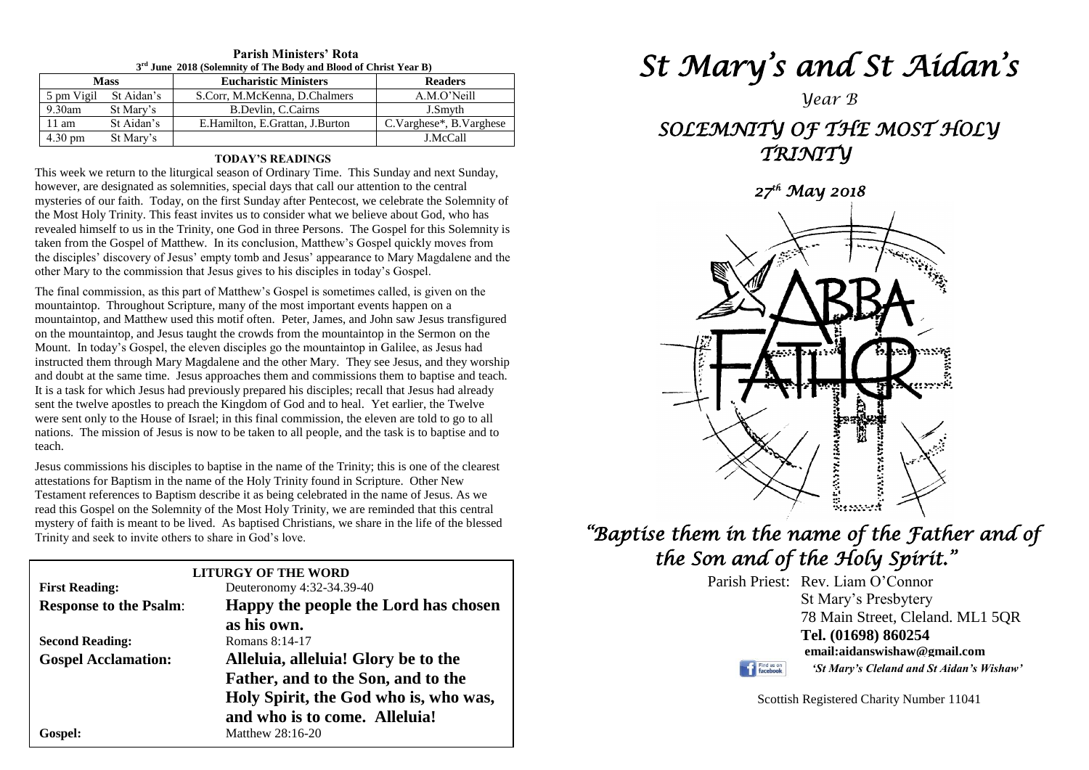| 3 <sup>ra</sup> June 2018 (Solemnity of The Body and Blood of Christ Year B) |            |                                 |                         |  |  |  |
|------------------------------------------------------------------------------|------------|---------------------------------|-------------------------|--|--|--|
| <b>Mass</b>                                                                  |            | <b>Eucharistic Ministers</b>    | <b>Readers</b>          |  |  |  |
| 5 pm Vigil                                                                   | St Aidan's | S.Corr, M.McKenna, D.Chalmers   | A.M.O'Neill             |  |  |  |
| $9.30$ am                                                                    | St Mary's  | B.Devlin, C.Cairns              | J.Smyth                 |  |  |  |
| $11 \text{ am}$                                                              | St Aidan's | E.Hamilton, E.Grattan, J.Burton | C.Varghese*, B.Varghese |  |  |  |
| $4.30 \text{ pm}$                                                            | St Mary's  |                                 | J.McCall                |  |  |  |

#### **Parish Ministers' Rota rd June 2018 (Solemnity of The Body and Blood of Christ Year B)**

#### **TODAY'S READINGS**

This week we return to the liturgical season of Ordinary Time. This Sunday and next Sunday, however, are designated as solemnities, special days that call our attention to the central mysteries of our faith. Today, on the first Sunday after Pentecost, we celebrate the Solemnity of the Most Holy Trinity. This feast invites us to consider what we believe about God, who has revealed himself to us in the Trinity, one God in three Persons. The Gospel for this Solemnity is taken from the Gospel of Matthew. In its conclusion, Matthew's Gospel quickly moves from the disciples' discovery of Jesus' empty tomb and Jesus' appearance to Mary Magdalene and the other Mary to the commission that Jesus gives to his disciples in today's Gospel.

sent the twelve apostles to preach the Kingdom of God and to heal. Yet earlier, the Twelve were sent only to the House of Israel; in this final commission, the eleven are told to go to all The final commission, as this part of Matthew's Gospel is sometimes called, is given on the mountaintop. Throughout Scripture, many of the most important events happen on a mountaintop, and Matthew used this motif often. Peter, James, and John saw Jesus transfigured on the mountaintop, and Jesus taught the crowds from the mountaintop in the Sermon on the Mount. In today's Gospel, the eleven disciples go the mountaintop in Galilee, as Jesus had instructed them through Mary Magdalene and the other Mary. They see Jesus, and they worship and doubt at the same time. Jesus approaches them and commissions them to baptise and teach. It is a task for which Jesus had previously prepared his disciples; recall that Jesus had already sent the twelve apostles to preach the Kingdom of God and to heal. Yet earlier, the Twelve nations. The mission of Jesus is now to be taken to all people, and the task is to baptise and to teach.

teach.<br>Jesus commissions his disciples to baptise in the name of the Trinity; this is one of the clearest Testament references to Baptism describe it as being celebrated in the name of Jesus. As we<br>read this Gospel on the Solemnity of the Most Holy Trinity, we are reminded that this centra *Trinity and seek to invite others to share in God's love.* attestations for Baptism in the name of the Holy Trinity found in Scripture. Other New read this Gospel on the Solemnity of the Most Holy Trinity, we are reminded that this central mystery of faith is meant to be lived. As baptised Christians, we share in the life of the blessed

| <b>LITURGY OF THE WORD</b>    |                                       |  |  |  |  |
|-------------------------------|---------------------------------------|--|--|--|--|
| <b>First Reading:</b>         | Deuteronomy 4:32-34.39-40             |  |  |  |  |
| <b>Response to the Psalm:</b> | Happy the people the Lord has chosen  |  |  |  |  |
|                               | as his own.                           |  |  |  |  |
| <b>Second Reading:</b>        | Romans 8:14-17                        |  |  |  |  |
| <b>Gospel Acclamation:</b>    | Alleluia, alleluia! Glory be to the   |  |  |  |  |
|                               | Father, and to the Son, and to the    |  |  |  |  |
|                               | Holy Spirit, the God who is, who was, |  |  |  |  |
|                               | and who is to come. Alleluia!         |  |  |  |  |
| Gospel:                       | Matthew 28:16-20                      |  |  |  |  |

# *St Mary's and St Aidan's*

# *Year B SOLEMNITY OF THE MOST HOLY TRINITY*

*27th May 2018* 



# *"Baptise them in the name of the Father and of the Son and of the Holy Spirit."*

Parish Priest: Rev. Liam O'Connor St Mary's Presbytery 78 Main Street, Cleland. ML1 5QR **Tel. (01698) 860254 email:aidanswishaw@gmail.com** Find us on *'St Mary's Cleland and St Aidan's Wishaw'*

Scottish Registered Charity Number 11041